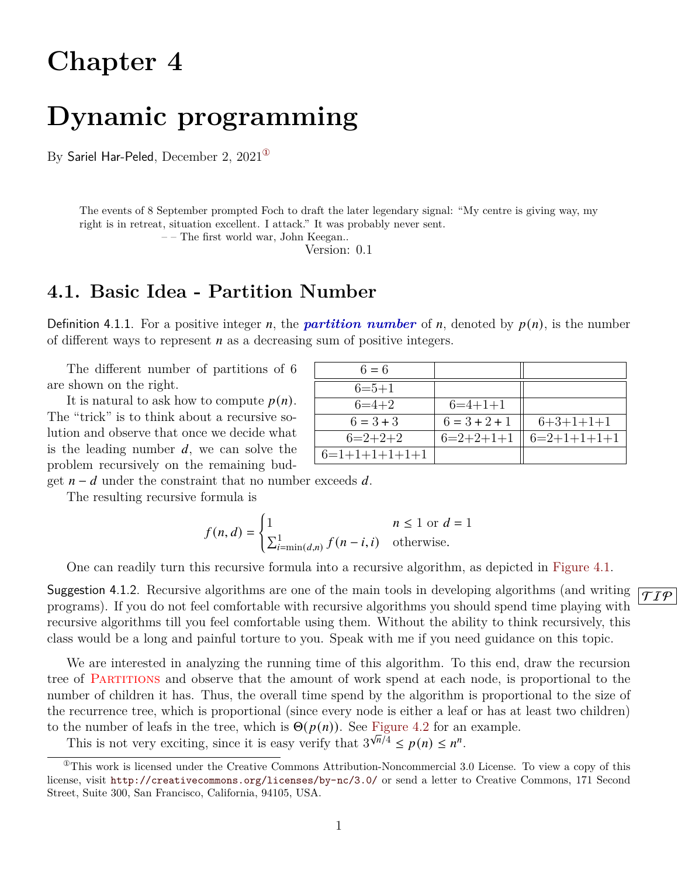# **Chapter 4**

# **Dynamic programming**

By Sariel Har-Peled, December 2,  $2021^{\circ}$ 

The events of 8 September prompted Foch to draft the later legendary signal: "My centre is giving way, my right is in retreat, situation excellent. I attack." It was probably never sent.

– – The first world war, John Keegan..

Version: 0.1

## **4.1. Basic Idea - Partition Number**

Definition 4.1.1. For a positive integer *n*, the *partition number* of *n*, denoted by  $p(n)$ , is the number of different ways to represent  $n$  as a decreasing sum of positive integers.

The different number of partitions of 6 are shown on the right.

It is natural to ask how to compute  $p(n)$ . The "trick" is to think about a recursive solution and observe that once we decide what is the leading number  $d$ , we can solve the problem recursively on the remaining bud-

| $6 = 6$         |                 |               |
|-----------------|-----------------|---------------|
| $6=5+1$         |                 |               |
| $6=4+2$         | $6=4+1+1$       |               |
| $6 = 3 + 3$     | $6 = 3 + 2 + 1$ | $6+3+1+1+1$   |
| $6=2+2+2$       | $6=2+2+1+1$     | $6=2+1+1+1+1$ |
| $6=1+1+1+1+1+1$ |                 |               |

get  $n - d$  under the constraint that no number exceeds d.

The resulting recursive formula is

$$
f(n,d) = \begin{cases} 1 & n \le 1 \text{ or } d = 1\\ \sum_{i=\min(d,n)}^{1} f(n-i,i) & \text{otherwise.} \end{cases}
$$

One can readily turn this recursive formula into a recursive algorithm, as depicted in [Figure 4.1.](#page-1-0)

Suggestion 4.1.2. Recursive algorithms are one of the main tools in developing algorithms (and writing  $\sqrt{\tau_{\mathcal{I}}\phi}$ programs). If you do not feel comfortable with recursive algorithms you should spend time playing with recursive algorithms till you feel comfortable using them. Without the ability to think recursively, this class would be a long and painful torture to you. Speak with me if you need guidance on this topic.

We are interested in analyzing the running time of this algorithm. To this end, draw the recursion tree of Partitions and observe that the amount of work spend at each node, is proportional to the number of children it has. Thus, the overall time spend by the algorithm is proportional to the size of the recurrence tree, which is proportional (since every node is either a leaf or has at least two children) to the number of leafs in the tree, which is  $\Theta(p(n))$ . See [Figure 4.2](#page-1-1) for an example.

<span id="page-0-0"></span>This is not very exciting, since it is easy verify that  $3^{\sqrt{n}/4} \le p(n) \le n^n$ .

 $^{\circ}$ This work is licensed under the Creative Commons Attribution-Noncommercial 3.0 License. To view a copy of this license, visit <http://creativecommons.org/licenses/by-nc/3.0/> or send a letter to Creative Commons, 171 Second Street, Suite 300, San Francisco, California, 94105, USA.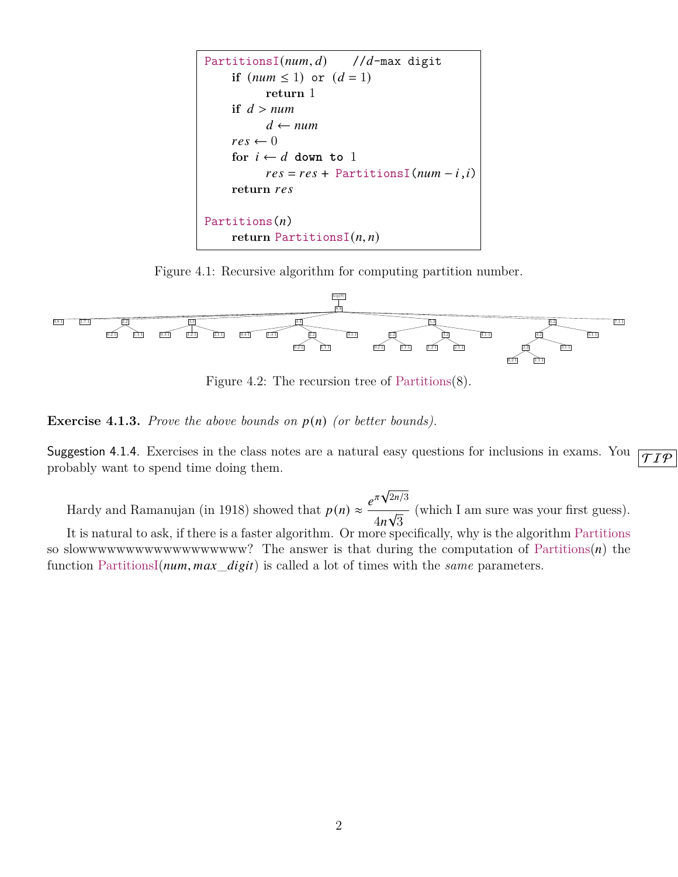<span id="page-1-0"></span>

Figure 4.1: Recursive algorithm for computing partition number.

<span id="page-1-1"></span>

Figure 4.2: The recursion tree of Partitions(8).

**Exercise 4.1.3.** *Prove the above bounds on*  $p(n)$  *(or better bounds).* 

Suggestion 4.1.4. Exercises in the class notes are a natural easy questions for inclusions in exams. You  $\sqrt{TT\phi}$ probably want to spend time doing them.

Hardy and Ramanujan (in 1918) showed that  $p(n) \approx \frac{e^{\pi \sqrt{n}}}{2}$  $\sqrt{2n/3}$ 4 √ 3 (which I am sure was your first guess). It is natural to ask, if there is a faster algorithm. Or more specifically, why is the algorithm Partitions so slowwwwwwwwwwwwwwwwww.? The answer is that during the computation of Partitions $(n)$  the function PartitionsI( $num, max\_digit$ ) is called a lot of times with the *same* parameters.

2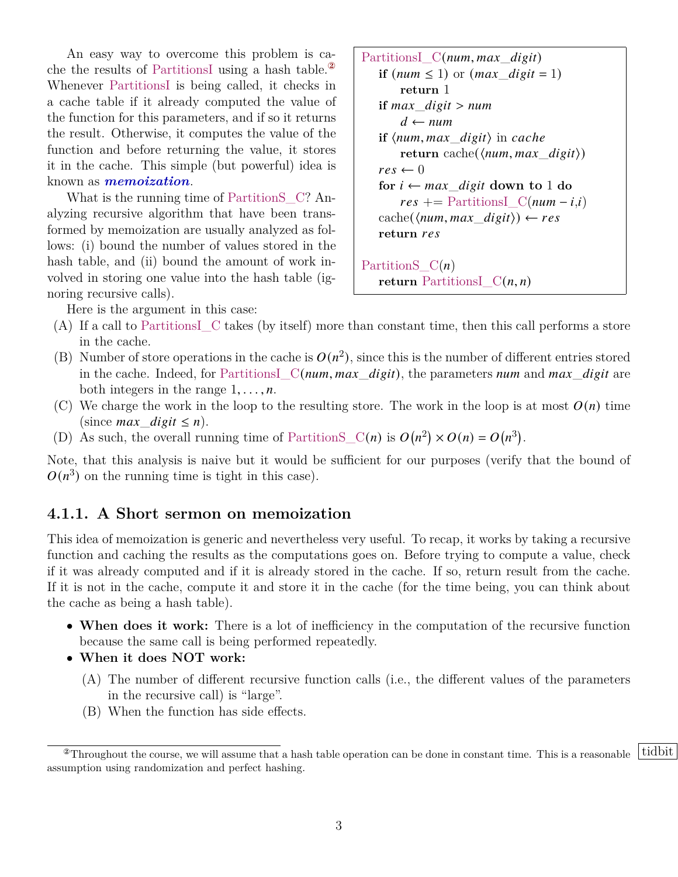An easy way to overcome this problem is cache the results of PartitionsI using a hash table.[②](#page-2-0) Whenever PartitionsI is being called, it checks in a cache table if it already computed the value of the function for this parameters, and if so it returns the result. Otherwise, it computes the value of the function and before returning the value, it stores it in the cache. This simple (but powerful) idea is known as *memoization*.

What is the running time of Partition SC? Analyzing recursive algorithm that have been transformed by memoization are usually analyzed as follows: (i) bound the number of values stored in the hash table, and (ii) bound the amount of work involved in storing one value into the hash table (ignoring recursive calls).

PartitionsI\_C(num, max\_digit)  
\nif (num ≤ 1) or (max\_digit = 1)  
\nreturn 1  
\nif max\_digit > num  
\n 
$$
d \leftarrow num
$$
  
\nif (num, max\_digit) in cache  
\n return cache((num, max\_digit))  
\n res ← 0  
\nfor  $i \leftarrow max_digit$  down to 1 do  
\n res += PartitionsI\_C(num - i, i)  
\n cache((num, max\_digit)) ← res  
\n return res  
\n

\nPartitions\_C(n)  
\nreturn Partitions\_C(n, n)

Here is the argument in this case:

- (A) If a call to PartitionsI\_C takes (by itself) more than constant time, then this call performs a store in the cache.
- (B) Number of store operations in the cache is  $O(n^2)$ , since this is the number of different entries stored in the cache. Indeed, for Partitions  $C(num, max\_digit)$ , the parameters num and max digit are both integers in the range  $1, \ldots, n$ .
- (C) We charge the work in the loop to the resulting store. The work in the loop is at most  $O(n)$  time (since *max* digit  $\leq n$ ).
- (D) As such, the overall running time of PartitionS\_C(n) is  $O(n^2) \times O(n) = O(n^3)$ .

Note, that this analysis is naive but it would be sufficient for our purposes (verify that the bound of  $O(n^3)$  on the running time is tight in this case).

#### **4.1.1. A Short sermon on memoization**

This idea of memoization is generic and nevertheless very useful. To recap, it works by taking a recursive function and caching the results as the computations goes on. Before trying to compute a value, check if it was already computed and if it is already stored in the cache. If so, return result from the cache. If it is not in the cache, compute it and store it in the cache (for the time being, you can think about the cache as being a hash table).

- **When does it work:** There is a lot of inefficiency in the computation of the recursive function because the same call is being performed repeatedly.
- **When it does NOT work:**
	- (A) The number of different recursive function calls (i.e., the different values of the parameters in the recursive call) is "large".
	- (B) When the function has side effects.

<span id="page-2-0"></span><sup>&</sup>lt;sup>2</sup>Throughout the course, we will assume that a hash table operation can be done in constant time. This is a reasonable tidbit assumption using randomization and perfect hashing.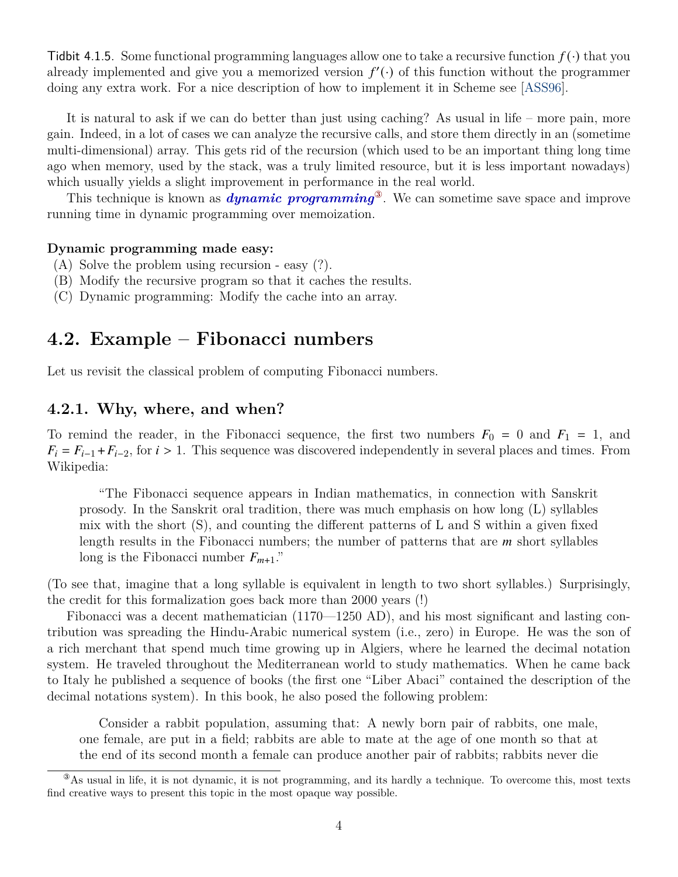Tidbit 4.1.5. Some functional programming languages allow one to take a recursive function  $f(\cdot)$  that you already implemented and give you a memorized version  $f'(\cdot)$  of this function without the programmer doing any extra work. For a nice description of how to implement it in Scheme see [\[ASS96\]](#page-14-0).

It is natural to ask if we can do better than just using caching? As usual in life – more pain, more gain. Indeed, in a lot of cases we can analyze the recursive calls, and store them directly in an (sometime multi-dimensional) array. This gets rid of the recursion (which used to be an important thing long time ago when memory, used by the stack, was a truly limited resource, but it is less important nowadays) which usually yields a slight improvement in performance in the real world.

This technique is known as *dynamic programming*[③](#page-3-0). We can sometime save space and improve running time in dynamic programming over memoization.

#### **Dynamic programming made easy:**

- (A) Solve the problem using recursion easy (?).
- (B) Modify the recursive program so that it caches the results.
- (C) Dynamic programming: Modify the cache into an array.

## **4.2. Example – Fibonacci numbers**

Let us revisit the classical problem of computing Fibonacci numbers.

#### **4.2.1. Why, where, and when?**

To remind the reader, in the Fibonacci sequence, the first two numbers  $F_0 = 0$  and  $F_1 = 1$ , and  $F_i = F_{i-1} + F_{i-2}$ , for  $i > 1$ . This sequence was discovered independently in several places and times. From Wikipedia:

"The Fibonacci sequence appears in Indian mathematics, in connection with Sanskrit prosody. In the Sanskrit oral tradition, there was much emphasis on how long (L) syllables mix with the short (S), and counting the different patterns of L and S within a given fixed length results in the Fibonacci numbers; the number of patterns that are  $m$  short syllables long is the Fibonacci number  $F_{m+1}$ ."

(To see that, imagine that a long syllable is equivalent in length to two short syllables.) Surprisingly, the credit for this formalization goes back more than 2000 years (!)

Fibonacci was a decent mathematician (1170—1250 AD), and his most significant and lasting contribution was spreading the Hindu-Arabic numerical system (i.e., zero) in Europe. He was the son of a rich merchant that spend much time growing up in Algiers, where he learned the decimal notation system. He traveled throughout the Mediterranean world to study mathematics. When he came back to Italy he published a sequence of books (the first one "Liber Abaci" contained the description of the decimal notations system). In this book, he also posed the following problem:

Consider a rabbit population, assuming that: A newly born pair of rabbits, one male, one female, are put in a field; rabbits are able to mate at the age of one month so that at the end of its second month a female can produce another pair of rabbits; rabbits never die

<span id="page-3-0"></span><sup>&</sup>lt;sup>3</sup>As usual in life, it is not dynamic, it is not programming, and its hardly a technique. To overcome this, most texts find creative ways to present this topic in the most opaque way possible.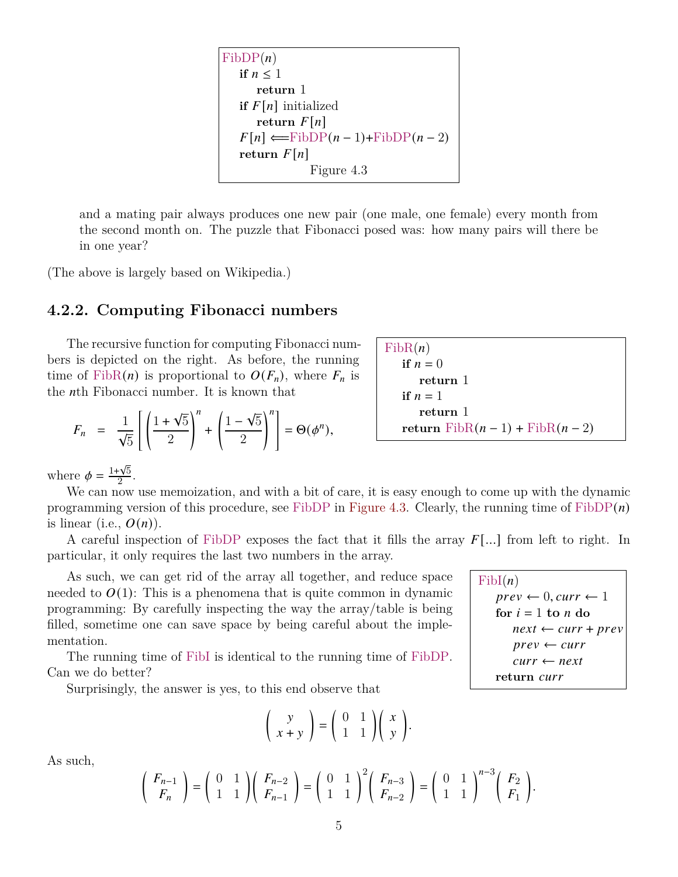<span id="page-4-0"></span> $FibDP(n)$ **if**  $n \leq 1$ **return** 1 **if**  $F[n]$  initialized **return**  $F[n]$  $F[n] \leftarrow$ FibDP $(n-1)$ +FibDP $(n-2)$ return  $F[n]$ Figure 4.3

and a mating pair always produces one new pair (one male, one female) every month from the second month on. The puzzle that Fibonacci posed was: how many pairs will there be in one year?

(The above is largely based on Wikipedia.)

#### **4.2.2. Computing Fibonacci numbers**

The recursive function for computing Fibonacci numbers is depicted on the right. As before, the running time of FibR(n) is proportional to  $O(F_n)$ , where  $F_n$  is the *n*th Fibonacci number. It is known that

$$
F_n = \frac{1}{\sqrt{5}} \left[ \left( \frac{1 + \sqrt{5}}{2} \right)^n + \left( \frac{1 - \sqrt{5}}{2} \right)^n \right] = \Theta(\phi^n),
$$

 $FibR(n)$ if  $n = 0$ **return** 1 if  $n = 1$ **return** 1 **return**  $FibR(n-1) + FibR(n-2)$ 

where  $\phi = \frac{1+\sqrt{5}}{2}$  $\frac{\mathsf{V}5}{2}$ .

We can now use memoization, and with a bit of care, it is easy enough to come up with the dynamic programming version of this procedure, see FibDP in [Figure 4.3.](#page-4-0) Clearly, the running time of  $FibDP(n)$ is linear (i.e.,  $O(n)$ ).

A careful inspection of FibDP exposes the fact that it fills the array  $F[\ldots]$  from left to right. In particular, it only requires the last two numbers in the array.

As such, we can get rid of the array all together, and reduce space needed to  $O(1)$ : This is a phenomena that is quite common in dynamic programming: By carefully inspecting the way the array/table is being filled, sometime one can save space by being careful about the implementation.

The running time of FibI is identical to the running time of FibDP. Can we do better?

Surprisingly, the answer is yes, to this end observe that

$$
\left(\begin{array}{c} y \\ x+y \end{array}\right) = \left(\begin{array}{cc} 0 & 1 \\ 1 & 1 \end{array}\right) \left(\begin{array}{c} x \\ y \end{array}\right)
$$

As such,

$$
\begin{pmatrix} F_{n-1} \\ F_n \end{pmatrix} = \begin{pmatrix} 0 & 1 \\ 1 & 1 \end{pmatrix} \begin{pmatrix} F_{n-2} \\ F_{n-1} \end{pmatrix} = \begin{pmatrix} 0 & 1 \\ 1 & 1 \end{pmatrix}^2 \begin{pmatrix} F_{n-3} \\ F_{n-2} \end{pmatrix} = \begin{pmatrix} 0 & 1 \\ 1 & 1 \end{pmatrix}^{n-3} \begin{pmatrix} F_2 \\ F_1 \end{pmatrix}.
$$

5

.

 $FibI(n)$  $prev \leftarrow 0, curr \leftarrow 1$ for  $i = 1$  to  $n$  do  $next \leftarrow curr + prev$  $prev \leftarrow curr$  $curr \leftarrow next$ **return**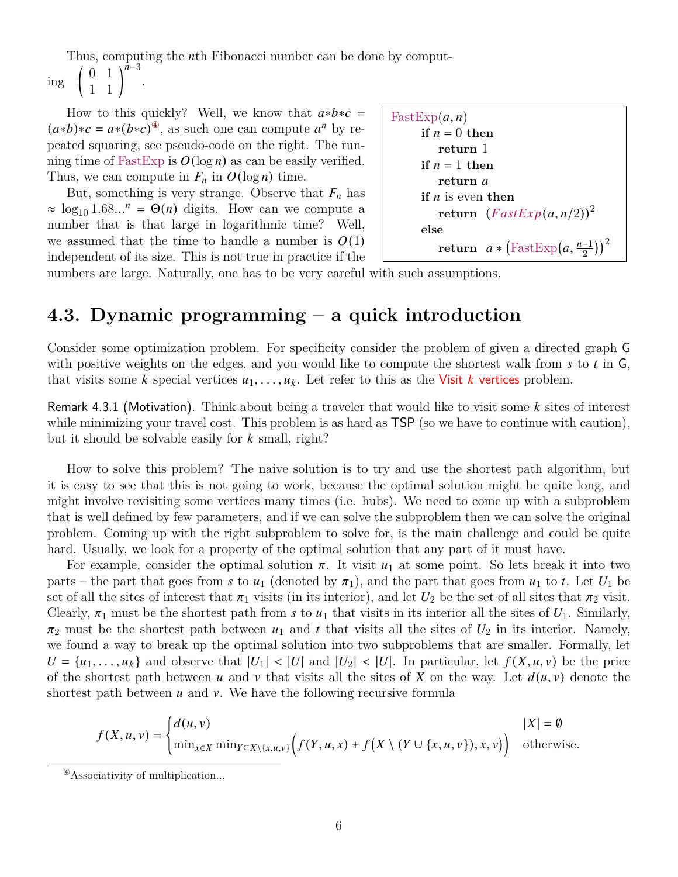Thus, computing the *n*th Fibonacci number can be done by comput-

ing  $\begin{pmatrix} 0 & 1 \\ 1 & 1 \end{pmatrix}^{n-3}$ .

How to this quickly? Well, we know that  $a*b*c =$  $(a*b)*c = a*(b*c)^{\circledast}$ , as such one can compute  $a^n$  by repeated squaring, see pseudo-code on the right. The running time of FastExp is  $O(\log n)$  as can be easily verified. Thus, we can compute in  $F_n$  in  $O(\log n)$  time.

But, something is very strange. Observe that  $F_n$  has  $\approx \log_{10} 1.68...^n = \Theta(n)$  digits. How can we compute a number that is that large in logarithmic time? Well, we assumed that the time to handle a number is  $O(1)$ independent of its size. This is not true in practice if the

```
FastExp(a, n)if n = 0 then
          return 1
     if n = 1 then
          return 
     if n is even then
          \textbf{return} \;\; (FastExp(a, n/2))^2else
          \textbf{return} \ \ a * \big(\text{FastExp}\big(a, \tfrac{n-1}{2}\big)\big)^2
```
numbers are large. Naturally, one has to be very careful with such assumptions.

## **4.3. Dynamic programming – a quick introduction**

Consider some optimization problem. For specificity consider the problem of given a directed graph G with positive weights on the edges, and you would like to compute the shortest walk from  $s$  to  $t$  in  $\overline{G}$ , that visits some k special vertices  $u_1, \ldots, u_k$ . Let refer to this as the Visit k vertices problem.

Remark 4.3.1 (Motivation). Think about being a traveler that would like to visit some  $k$  sites of interest while minimizing your travel cost. This problem is as hard as  $\mathsf{TSP}$  (so we have to continue with caution), but it should be solvable easily for  $k$  small, right?

How to solve this problem? The naive solution is to try and use the shortest path algorithm, but it is easy to see that this is not going to work, because the optimal solution might be quite long, and might involve revisiting some vertices many times (i.e. hubs). We need to come up with a subproblem that is well defined by few parameters, and if we can solve the subproblem then we can solve the original problem. Coming up with the right subproblem to solve for, is the main challenge and could be quite hard. Usually, we look for a property of the optimal solution that any part of it must have.

For example, consider the optimal solution  $\pi$ . It visit  $u_1$  at some point. So lets break it into two parts – the part that goes from s to  $u_1$  (denoted by  $\pi_1$ ), and the part that goes from  $u_1$  to t. Let  $U_1$  be set of all the sites of interest that  $\pi_1$  visits (in its interior), and let  $U_2$  be the set of all sites that  $\pi_2$  visit. Clearly,  $\pi_1$  must be the shortest path from s to  $u_1$  that visits in its interior all the sites of  $U_1$ . Similarly,  $\pi_2$  must be the shortest path between  $u_1$  and t that visits all the sites of  $U_2$  in its interior. Namely, we found a way to break up the optimal solution into two subproblems that are smaller. Formally, let  $U = \{u_1, \ldots, u_k\}$  and observe that  $|U_1| < |U|$  and  $|U_2| < |U|$ . In particular, let  $f(X, u, v)$  be the price of the shortest path between u and v that visits all the sites of X on the way. Let  $d(u, v)$  denote the shortest path between  $u$  and  $v$ . We have the following recursive formula

$$
f(X, u, v) = \begin{cases} d(u, v) & |X| = \emptyset \\ \min_{x \in X} \min_{Y \subseteq X \setminus \{x, u, v\}} \Big( f(Y, u, x) + f(X \setminus (Y \cup \{x, u, v\}), x, v) \Big) & \text{otherwise.} \end{cases}
$$

<span id="page-5-0"></span> $^\circledR$  Associativity of multiplication...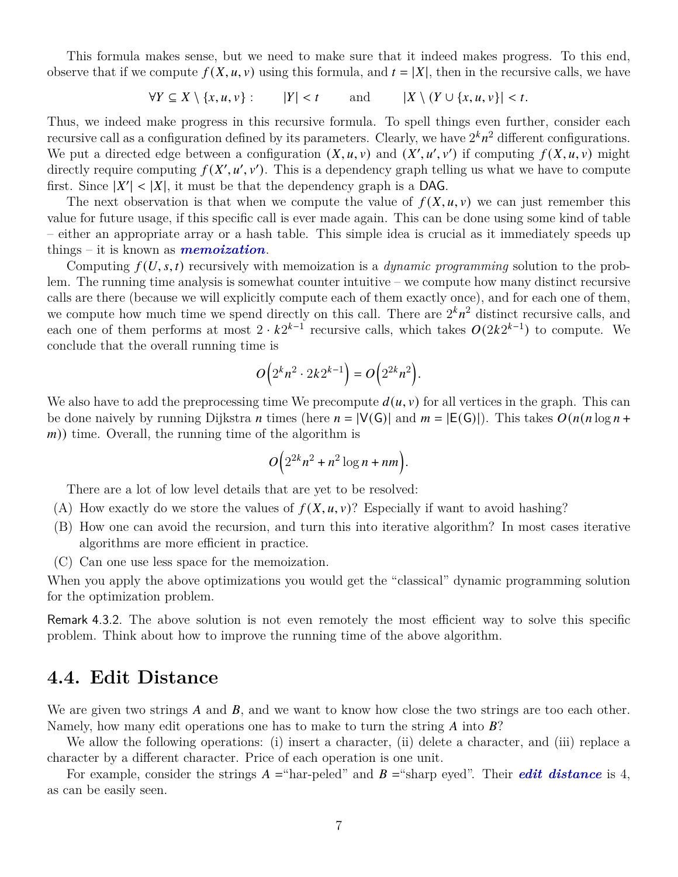This formula makes sense, but we need to make sure that it indeed makes progress. To this end, observe that if we compute  $f(X, u, v)$  using this formula, and  $t = |X|$ , then in the recursive calls, we have

 $\forall Y \subseteq X \setminus \{x, u, v\} : |Y| < t$  and  $|X \setminus (Y \cup \{x, u, v\})| < t$ .

Thus, we indeed make progress in this recursive formula. To spell things even further, consider each recursive call as a configuration defined by its parameters. Clearly, we have  $2^k n^2$  different configurations. We put a directed edge between a configuration  $(X, u, v)$  and  $(X', u', v')$  if computing  $f(X, u, v)$  might directly require computing  $f(X', u', v')$ . This is a dependency graph telling us what we have to compute first. Since  $|X'| < |X|$ , it must be that the dependency graph is a DAG.

The next observation is that when we compute the value of  $f(X, u, v)$  we can just remember this value for future usage, if this specific call is ever made again. This can be done using some kind of table – either an appropriate array or a hash table. This simple idea is crucial as it immediately speeds up things – it is known as *memoization*.

Computing  $f(U, s, t)$  recursively with memoization is a *dynamic programming* solution to the problem. The running time analysis is somewhat counter intuitive – we compute how many distinct recursive calls are there (because we will explicitly compute each of them exactly once), and for each one of them, we compute how much time we spend directly on this call. There are  $2^k n^2$  distinct recursive calls, and each one of them performs at most  $2 \cdot k2^{k-1}$  recursive calls, which takes  $O(2k2^{k-1})$  to compute. We conclude that the overall running time is

$$
O\Big(2^kn^2\cdot 2k2^{k-1}\Big)=O\Big(2^{2k}n^2\Big).
$$

We also have to add the preprocessing time We precompute  $d(u, v)$  for all vertices in the graph. This can be done naively by running Dijkstra *n* times (here  $n = |V(G)|$  and  $m = |E(G)|$ ). This takes  $O(n(n \log n +$  $(m)$ ) time. Overall, the running time of the algorithm is

$$
O\left(2^{2k}n^2 + n^2\log n + nm\right).
$$

There are a lot of low level details that are yet to be resolved:

- (A) How exactly do we store the values of  $f(X, u, v)$ ? Especially if want to avoid hashing?
- (B) How one can avoid the recursion, and turn this into iterative algorithm? In most cases iterative algorithms are more efficient in practice.
- (C) Can one use less space for the memoization.

When you apply the above optimizations you would get the "classical" dynamic programming solution for the optimization problem.

Remark 4.3.2. The above solution is not even remotely the most efficient way to solve this specific problem. Think about how to improve the running time of the above algorithm.

### **4.4. Edit Distance**

We are given two strings  $A$  and  $B$ , and we want to know how close the two strings are too each other. Namely, how many edit operations one has to make to turn the string  $\vec{A}$  into  $\vec{B}$ ?

We allow the following operations: (i) insert a character, (ii) delete a character, and (iii) replace a character by a different character. Price of each operation is one unit.

For example, consider the strings  $A =$ "har-peled" and  $B =$ "sharp eyed". Their *edit distance* is 4, as can be easily seen.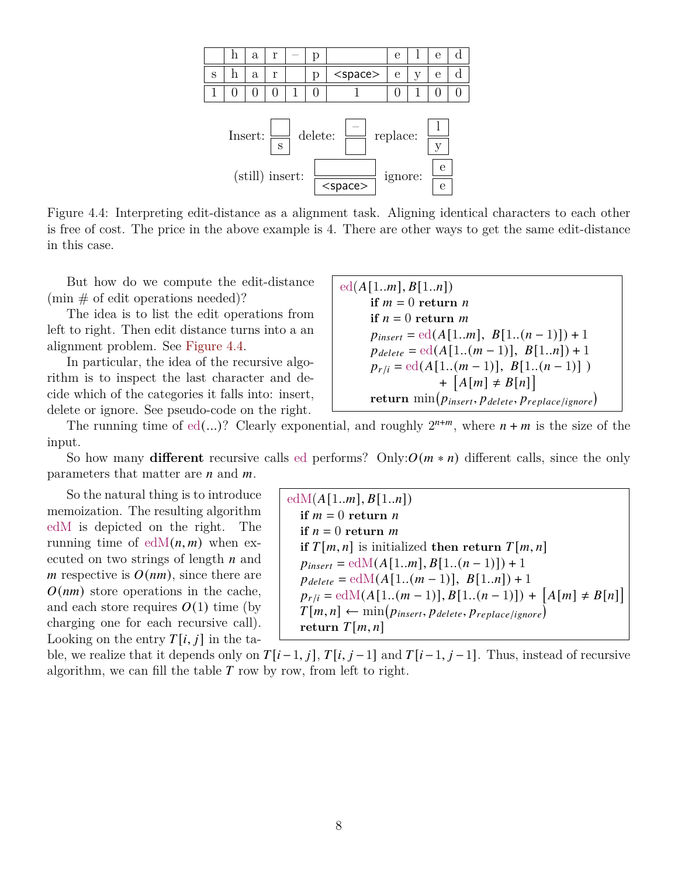<span id="page-7-0"></span>

Figure 4.4: Interpreting edit-distance as a alignment task. Aligning identical characters to each other is free of cost. The price in the above example is 4. There are other ways to get the same edit-distance in this case.

But how do we compute the edit-distance  $(\min \# \text{ of edit operations needed})$ ?

The idea is to list the edit operations from left to right. Then edit distance turns into a an alignment problem. See [Figure 4.4.](#page-7-0)

In particular, the idea of the recursive algorithm is to inspect the last character and decide which of the categories it falls into: insert, delete or ignore. See pseudo-code on the right.

 $ed(A[1..m], B[1..n])$ **if**  $m = 0$  **return**  $n$ **if**  $n = 0$  **return** m  $p_{insert} = ed(A[1..m], B[1..(n-1)]) + 1$  $p_{delete} = \text{ed}(A[1..(m-1)], B[1..n]) + 1$  $p_{r/i} = \text{ed}(A[1..(m-1)], B[1..(n-1)])$ +  $[A[m] \neq B[n]]$  $\textbf{return } \min(p_{insert}, p_{delete}, p_{replace/ignore})$ 

The running time of ed(...)? Clearly exponential, and roughly  $2^{n+m}$ , where  $n+m$  is the size of the input.

So how many **different** recursive calls ed performs? Only: $O(m * n)$  different calls, since the only parameters that matter are  $n$  and  $m$ .

So the natural thing is to introduce memoization. The resulting algorithm edM is depicted on the right. The running time of  $edM(n, m)$  when executed on two strings of length  $n$  and *m* respective is  $O(nm)$ , since there are  $O(nm)$  store operations in the cache, and each store requires  $O(1)$  time (by charging one for each recursive call). Looking on the entry  $T[i, j]$  in the ta-

 $edM(A[1..m], B[1..n])$ **if**  $m = 0$  **return**  $n$ **if**  $n = 0$  **return** m **if**  $T[m, n]$  is initialized **then return**  $T[m, n]$  $p_{insert} = \text{edM}(A[1..m], B[1..(n-1)]) + 1$  $p_{delete} = \text{edM}(A[1..(m-1)], B[1..n]) + 1$  $p_{r/i} = \text{edM}(A[1..(m-1)], B[1..(n-1)]) + [A[m] \neq B[n]]$  $T[m, n] \leftarrow \min(p_{insert}, p_{delete}, p_{replace|ignore})$ return  $T[m, n]$ 

ble, we realize that it depends only on  $T[i-1, j]$ ,  $T[i, j-1]$  and  $T[i-1, j-1]$ . Thus, instead of recursive algorithm, we can fill the table  $T$  row by row, from left to right.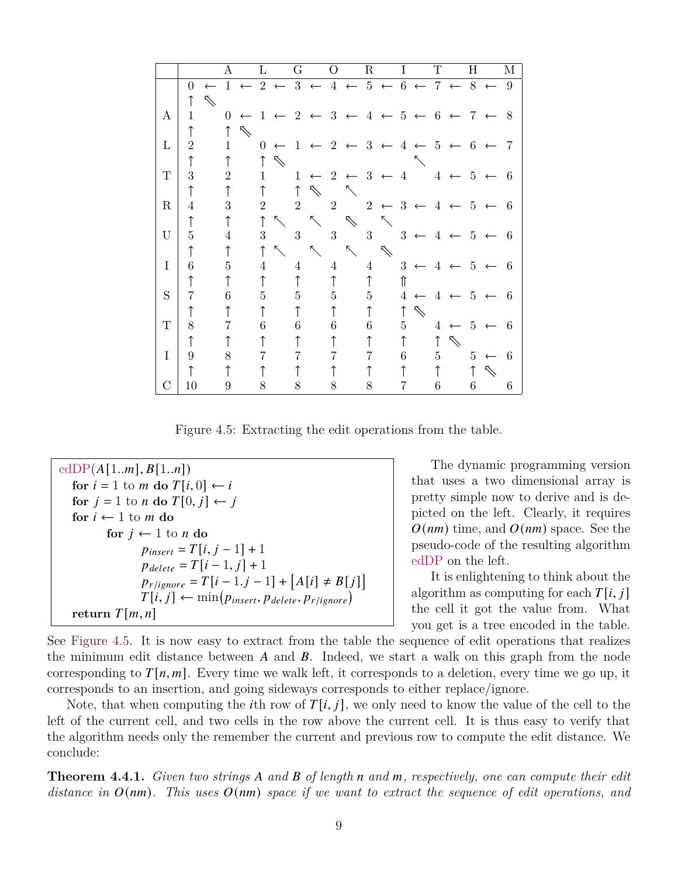<span id="page-8-0"></span>

|               |                |              | A              |                | L              |                             | G               |              | $\Omega$       |                                        | $\mathbf R$    |                  | $\mathbf I$    |              | $\mathbf T$    |                                                    | $\mathbf H$    |                | M              |
|---------------|----------------|--------------|----------------|----------------|----------------|-----------------------------|-----------------|--------------|----------------|----------------------------------------|----------------|------------------|----------------|--------------|----------------|----------------------------------------------------|----------------|----------------|----------------|
|               | $\overline{0}$ | $\leftarrow$ |                | $1 \leftarrow$ |                | $2 \leftarrow 3 \leftarrow$ |                 |              | $\overline{4}$ | $\leftarrow 5 \leftarrow 6 \leftarrow$ |                |                  |                |              |                | $7 \leftarrow 8 \leftarrow$                        |                |                | 9              |
|               |                | $\nearrow$   |                |                |                |                             |                 |              |                |                                        |                |                  |                |              |                |                                                    |                |                |                |
| A             | 1              |              | $\overline{0}$ | $\leftarrow$   | 1              |                             | $\overline{2}$  | $\leftarrow$ | 3              | $\longleftarrow$                       | 4              | $\leftarrow 5$   |                | $\leftarrow$ | 6              | $\leftarrow$                                       |                | $7 \leftarrow$ | 8              |
|               | ↑              |              |                | ⇖              |                |                             |                 |              |                |                                        |                |                  |                |              |                |                                                    |                |                |                |
| $\Gamma$      | $\overline{2}$ |              | 1              |                | $\overline{0}$ | $\leftarrow$                | $\mathbf{1}$    |              | $\overline{2}$ | $\leftarrow$                           | 3              | $\leftarrow$     | 4              | $\leftarrow$ | -5             | $\leftarrow$                                       | 6              |                | $\overline{7}$ |
|               | ↑              |              |                |                |                | $\mathcal{P}$               |                 |              |                |                                        |                |                  |                |              |                |                                                    |                |                |                |
| T             | 3              |              | $\overline{2}$ |                | $\mathbf{1}$   |                             | $\mathbf{1}$    | $\leftarrow$ | 2              | $\leftarrow$ 3                         |                | $\leftarrow$     | $\overline{4}$ |              | $\overline{4}$ | $\leftarrow 5$                                     |                |                | 6              |
|               | ↑              |              | $\uparrow$     |                | $\uparrow$     |                             | $\uparrow$      | ⇖            |                |                                        |                |                  |                |              |                |                                                    |                |                |                |
| $\mathbf R$   | $\overline{4}$ |              | 3              |                | $\overline{2}$ |                             | $\overline{2}$  |              | $\overline{2}$ |                                        |                | $2 \leftarrow 3$ |                | $\leftarrow$ | 4              | $\leftarrow$                                       | 5              |                | 6              |
|               | ↑              |              |                |                | $\uparrow$     | $\mathcal{L}$               |                 | $\searrow$   |                | $\mathcal{N}$                          |                | ↖                |                |              |                |                                                    |                |                |                |
| U             | 5              |              | 4              |                | 3              |                             | 3               |              | 3              |                                        | 3 <sup>1</sup> |                  | 3              |              | 4              |                                                    | 5              |                | 6              |
|               |                |              |                |                |                | $\searrow$                  |                 | ↖            |                | $\diagup$                              |                | $\nearrow$       |                |              |                |                                                    |                |                |                |
| $\mathbf I$   | 6              |              | 5              |                | 4              |                             | $\overline{4}$  |              | $\overline{4}$ |                                        | $\overline{4}$ |                  | 3              |              | $\overline{4}$ | $\leftarrow$                                       | 5              |                | 6              |
|               | $\uparrow$     |              |                |                | ↑              |                             | ↑               |              | ↑              |                                        | $\uparrow$     |                  | ⇑              |              |                |                                                    |                |                |                |
| S             | 7              |              | 6              |                | $\bf 5$        |                             | $5\overline{)}$ |              | 5              |                                        | 5 <sup>5</sup> |                  | 4              |              | $\overline{4}$ | $\leftarrow$                                       | $\overline{5}$ |                | 6              |
|               |                |              |                |                |                |                             | ↑               |              | ↑              |                                        | $\uparrow$     |                  | ↑              | $\nearrow$   |                |                                                    |                |                |                |
| Τ             | 8              |              | 7              |                | 6              |                             | 6               |              | 6              |                                        | 6              |                  | $\overline{5}$ |              | $\overline{4}$ | $\leftarrow$                                       | - 5            |                | 6              |
|               |                |              |                |                |                |                             |                 |              |                |                                        | ↑              |                  | ↑              |              | ↑              | $\begin{picture}(20,5) \label{picc} \end{picture}$ |                |                |                |
| $\mathbf I$   | 9              |              | 8              |                | 7              |                             | 7               |              |                |                                        | 7              |                  | $6 -$          |              | $\overline{5}$ |                                                    | 5 <sup>5</sup> | $\leftarrow$   | - 6            |
|               |                |              |                |                |                |                             |                 |              |                |                                        |                |                  | $\uparrow$     |              | $\uparrow$     |                                                    | $\uparrow$     | $\nearrow$     |                |
| $\mathcal{C}$ | 10             |              | 9              |                | 8              |                             | 8               |              | 8              |                                        | 8              |                  | 7              |              | 6              |                                                    | 6              |                | 6              |

Figure 4.5: Extracting the edit operations from the table.

```
edDP(A[1..m], B[1..n])for i = 1 to m do T[i, 0] \leftarrow ifor j = 1 to n do T[0, j] \leftarrow jfor i \leftarrow 1 to m do
        for j ← 1 to n do
               p_{insert} = T[i, j - 1] + 1p_{delete} = T[i - 1, j] + 1p_{r/ignore} = T[i - 1.j - 1] + [A[i] \neq B[j]]T[i, j] \leftarrow \min(p_{insert}, p_{delete}, p_{r/ignore})return T[m, n]
```
The dynamic programming version that uses a two dimensional array is pretty simple now to derive and is depicted on the left. Clearly, it requires  $O(nm)$  time, and  $O(nm)$  space. See the pseudo-code of the resulting algorithm edDP on the left.

It is enlightening to think about the algorithm as computing for each  $T[i, j]$ the cell it got the value from. What you get is a tree encoded in the table.

See [Figure 4.5.](#page-8-0) It is now easy to extract from the table the sequence of edit operations that realizes the minimum edit distance between  $A$  and  $B$ . Indeed, we start a walk on this graph from the node corresponding to  $T[n, m]$ . Every time we walk left, it corresponds to a deletion, every time we go up, it corresponds to an insertion, and going sideways corresponds to either replace/ignore.

Note, that when computing the *i*th row of  $T[i, j]$ , we only need to know the value of the cell to the left of the current cell, and two cells in the row above the current cell. It is thus easy to verify that the algorithm needs only the remember the current and previous row to compute the edit distance. We conclude:

**Theorem 4.4.1.** *Given two strings* A and B of length n and m, respectively, one can compute their edit *distance in*  $O(nm)$ . This uses  $O(nm)$  space if we want to extract the sequence of edit operations, and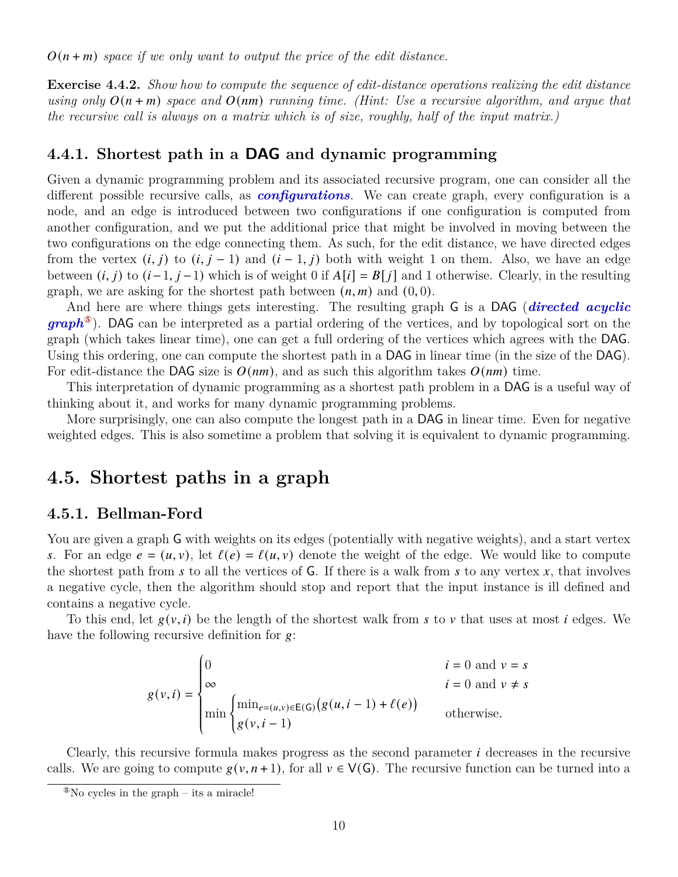$O(n+m)$  space if we only want to output the price of the edit distance.

**Exercise 4.4.2.** *Show how to compute the sequence of edit-distance operations realizing the edit distance using only*  $O(n + m)$  *space and*  $O(nm)$  *running time. (Hint: Use a recursive algorithm, and argue that the recursive call is always on a matrix which is of size, roughly, half of the input matrix.)*

#### **4.4.1. Shortest path in a DAG and dynamic programming**

Given a dynamic programming problem and its associated recursive program, one can consider all the different possible recursive calls, as *configurations*. We can create graph, every configuration is a node, and an edge is introduced between two configurations if one configuration is computed from another configuration, and we put the additional price that might be involved in moving between the two configurations on the edge connecting them. As such, for the edit distance, we have directed edges from the vertex  $(i, j)$  to  $(i, j - 1)$  and  $(i - 1, j)$  both with weight 1 on them. Also, we have an edge between  $(i, j)$  to  $(i-1, j-1)$  which is of weight 0 if  $A[i] = B[j]$  and 1 otherwise. Clearly, in the resulting graph, we are asking for the shortest path between  $(n, m)$  and  $(0, 0)$ .

And here are where things gets interesting. The resulting graph G is a DAG (*directed acyclic graph*[⑤](#page-9-0)). DAG can be interpreted as a partial ordering of the vertices, and by topological sort on the graph (which takes linear time), one can get a full ordering of the vertices which agrees with the DAG. Using this ordering, one can compute the shortest path in a DAG in linear time (in the size of the DAG). For edit-distance the DAG size is  $O(nm)$ , and as such this algorithm takes  $O(nm)$  time.

This interpretation of dynamic programming as a shortest path problem in a DAG is a useful way of thinking about it, and works for many dynamic programming problems.

More surprisingly, one can also compute the longest path in a DAG in linear time. Even for negative weighted edges. This is also sometime a problem that solving it is equivalent to dynamic programming.

## **4.5. Shortest paths in a graph**

#### **4.5.1. Bellman-Ford**

You are given a graph G with weights on its edges (potentially with negative weights), and a start vertex s. For an edge  $e = (u, v)$ , let  $\ell(e) = \ell(u, v)$  denote the weight of the edge. We would like to compute the shortest path from  $s$  to all the vertices of G. If there is a walk from  $s$  to any vertex  $x$ , that involves a negative cycle, then the algorithm should stop and report that the input instance is ill defined and contains a negative cycle.

To this end, let  $g(v, i)$  be the length of the shortest walk from s to v that uses at most i edges. We have the following recursive definition for  $g$ :

$$
g(v,i) = \begin{cases} 0 & i = 0 \text{ and } v = s \\ \infty & i = 0 \text{ and } v \neq s \\ \min \begin{cases} \min_{e=(u,v)\in \mathsf{E}(\mathsf{G})} \big(g(u,i-1) + \ell(e)\big) \\ g(v,i-1) \end{cases} & \text{otherwise.} \end{cases}
$$

Clearly, this recursive formula makes progress as the second parameter  $i$  decreases in the recursive calls. We are going to compute  $g(v, n+1)$ , for all  $v \in V(G)$ . The recursive function can be turned into a

<span id="page-9-0"></span> $\delta$ No cycles in the graph – its a miracle!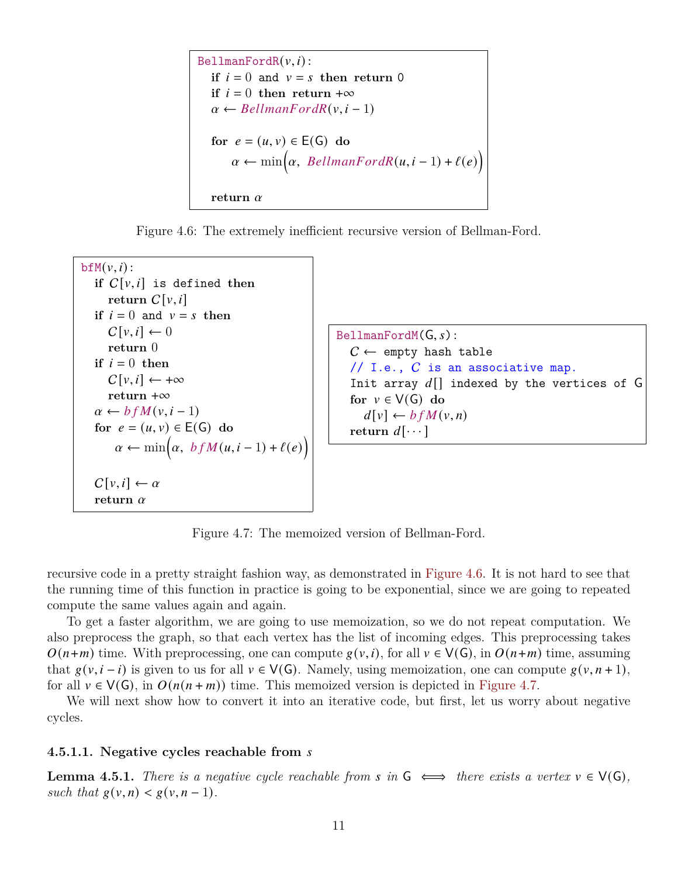```
BellmanFordR(v, i):
if i = 0 and v = s then return 0
if i = 0 then return +∞
\alpha \leftarrow BellmanFordR(v, i - 1)for e = (u, v) \in E(G) do
     \alpha \leftarrow \min(\alpha, \text{ BellmanFordR}(u, i-1) + \ell(e))return \alpha
```
Figure 4.6: The extremely inefficient recursive version of Bellman-Ford.

```
bfM}(v, i):
if C[v, i] is defined then
   return C[v, i]if i = 0 and v = s then
   C[v, i] \leftarrow 0return 0
if i = 0 then
   C[v, i] \leftarrow +\inftyreturn +∞
\alpha \leftarrow b f M(v, i - 1)for e = (u, v) \in E(G) do
     \alpha \leftarrow \min(\alpha, b f M(u, i-1) + \ell(e))C[v, i] \leftarrow \alphareturn 
                                                 BellmanFordM(G, s):
                                                    C \leftarrow empty hash table
                                                    // I.e., C is an associative map.
                                                    Init array d[] indexed by the vertices of G
                                                    for v \in V(G) do
                                                       d[v] \leftarrow b f M(v, n)return d[\cdots]
```
Figure 4.7: The memoized version of Bellman-Ford.

recursive code in a pretty straight fashion way, as demonstrated in [Figure 4.6.](#page-10-0) It is not hard to see that the running time of this function in practice is going to be exponential, since we are going to repeated compute the same values again and again.

To get a faster algorithm, we are going to use memoization, so we do not repeat computation. We also preprocess the graph, so that each vertex has the list of incoming edges. This preprocessing takes  $O(n+m)$  time. With preprocessing, one can compute  $g(v, i)$ , for all  $v \in V(G)$ , in  $O(n+m)$  time, assuming that  $g(v, i - i)$  is given to us for all  $v \in V(G)$ . Namely, using memoization, one can compute  $g(v, n + 1)$ , for all  $v \in V(G)$ , in  $O(n(n + m))$  time. This memoized version is depicted in [Figure 4.7.](#page-10-1)

We will next show how to convert it into an iterative code, but first, let us worry about negative cycles.

#### **4.5.1.1. Negative cycles reachable from**

**Lemma 4.5.1.** *There is a negative cycle reachable from* s in  $G \iff$  there exists a vertex  $v \in V(G)$ *, such that*  $g(v, n) < g(v, n-1)$ .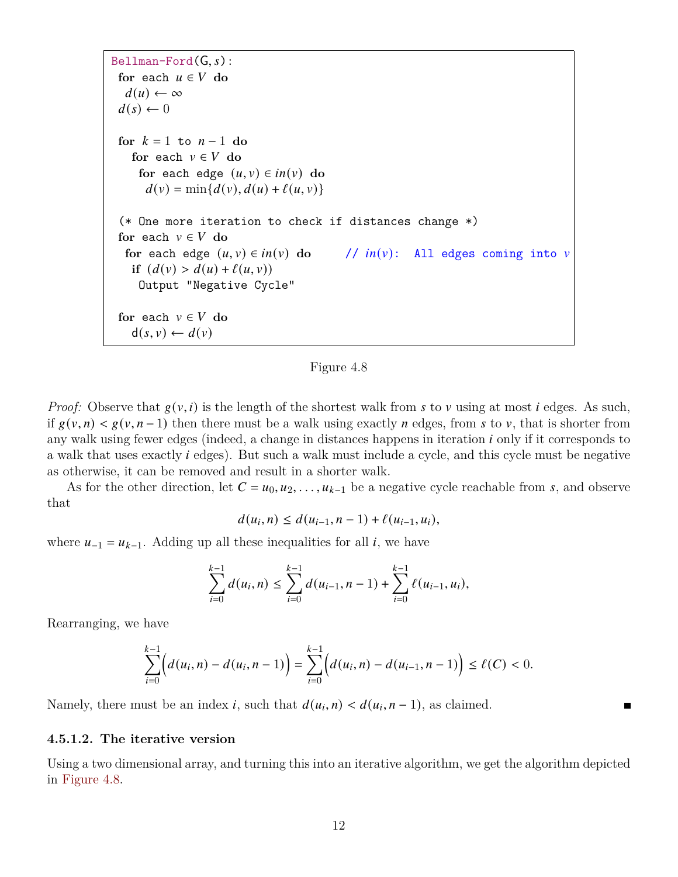<span id="page-11-0"></span>Bellman-Ford(G, s):

\nfor each 
$$
u \in V
$$
 do

\n $d(u) \leftarrow \infty$ 

\n $d(s) \leftarrow 0$ 

\nfor  $k = 1$  to  $n - 1$  do

\nfor each  $v \in V$  do

\nfor each edge  $(u, v) \in in(v)$  do

\n $d(v) = \min\{d(v), d(u) + \ell(u, v)\}$ 

\n(\* One more iteration to check if distances change \*)

\nfor each  $v \in V$  do

\nfor each edge  $(u, v) \in in(v)$  do

\nif  $(d(v) > d(u) + \ell(u, v))$ 

\nOutput "Negative Cycle"

\nfor each  $v \in V$  do

\n $d(s, v) \leftarrow d(v)$ 

Figure 4.8

*Proof:* Observe that  $g(v, i)$  is the length of the shortest walk from s to v using at most *i* edges. As such, if  $g(v, n) < g(v, n-1)$  then there must be a walk using exactly n edges, from s to v, that is shorter from any walk using fewer edges (indeed, a change in distances happens in iteration  $i$  only if it corresponds to a walk that uses exactly *i* edges). But such a walk must include a cycle, and this cycle must be negative as otherwise, it can be removed and result in a shorter walk.

As for the other direction, let  $C = u_0, u_2, \ldots, u_{k-1}$  be a negative cycle reachable from s, and observe that

$$
d(u_i, n) \leq d(u_{i-1}, n-1) + \ell(u_{i-1}, u_i),
$$

where  $u_{-1} = u_{k-1}$ . Adding up all these inequalities for all *i*, we have

$$
\sum_{i=0}^{k-1} d(u_i, n) \le \sum_{i=0}^{k-1} d(u_{i-1}, n-1) + \sum_{i=0}^{k-1} \ell(u_{i-1}, u_i),
$$

Rearranging, we have

$$
\sum_{i=0}^{k-1} \Bigl(d(u_i,n)-d(u_i,n-1)\Bigr)=\sum_{i=0}^{k-1} \Bigl(d(u_i,n)-d(u_{i-1},n-1)\Bigr)\leq \ell(C)<0.
$$

Namely, there must be an index *i*, such that  $d(u_i, n) < d(u_i, n-1)$ , as claimed.

#### **4.5.1.2. The iterative version**

Using a two dimensional array, and turning this into an iterative algorithm, we get the algorithm depicted in [Figure 4.8.](#page-11-0)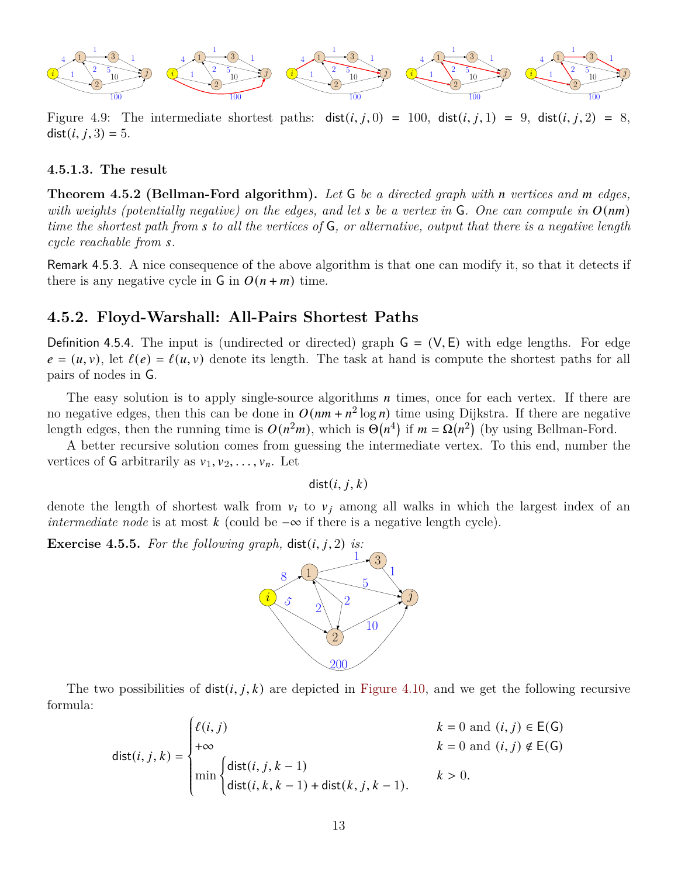

Figure 4.9: The intermediate shortest paths:  $dist(i, j, 0) = 100$ ,  $dist(i, j, 1) = 9$ ,  $dist(i, j, 2) = 8$ ,  $dist(i, j, 3) = 5.$ 

#### **4.5.1.3. The result**

**Theorem 4.5.2 (Bellman-Ford algorithm).** *Let* G *be a directed graph with vertices and edges, with weights (potentially negative) on the edges, and let* s be a vertex in  $\mathsf{G}$ . One can compute in  $O(nm)$ *time the shortest path from to all the vertices of* G*, or alternative, output that there is a negative length cycle reachable from .*

Remark 4.5.3. A nice consequence of the above algorithm is that one can modify it, so that it detects if there is any negative cycle in  $\mathsf{G}$  in  $O(n + m)$  time.

#### **4.5.2. Floyd-Warshall: All-Pairs Shortest Paths**

Definition 4.5.4. The input is (undirected or directed) graph  $G = (V, E)$  with edge lengths. For edge  $e = (u, v)$ , let  $\ell(e) = \ell(u, v)$  denote its length. The task at hand is compute the shortest paths for all pairs of nodes in G.

The easy solution is to apply single-source algorithms  $n$  times, once for each vertex. If there are no negative edges, then this can be done in  $O(nm + n^2 \log n)$  time using Dijkstra. If there are negative length edges, then the running time is  $O(n^2m)$ , which is  $\Theta(n^4)$  if  $m = \Omega(n^2)$  (by using Bellman-Ford.

A better recursive solution comes from guessing the intermediate vertex. To this end, number the vertices of G arbitrarily as  $v_1, v_2, \ldots, v_n$ . Let

 $dist(i, j, k)$ 

denote the length of shortest walk from  $v_i$  to  $v_j$  among all walks in which the largest index of an *intermediate node* is at most  $k$  (could be  $-\infty$  if there is a negative length cycle).

**Exercise 4.5.5.** For the following graph,  $dist(i, j, 2)$  is:



The two possibilities of  $dist(i, j, k)$  are depicted in [Figure 4.10,](#page-13-0) and we get the following recursive formula:

$$
dist(i, j, k) = \begin{cases} \ell(i, j) & k = 0 \text{ and } (i, j) \in E(G) \\ +\infty & k = 0 \text{ and } (i, j) \notin E(G) \\ \min \begin{cases} \text{dist}(i, j, k - 1) & k > 0. \\ \text{dist}(i, k, k - 1) + \text{dist}(k, j, k - 1). \end{cases} & k > 0. \end{cases}
$$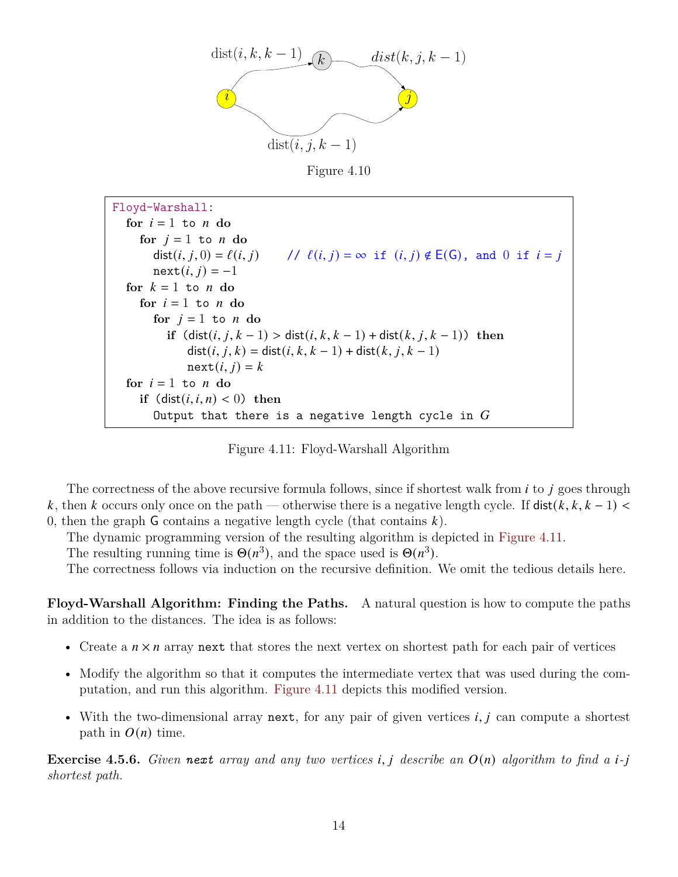<span id="page-13-0"></span>

Figure 4.10

<span id="page-13-1"></span>Floyd-Warshall: for  $i = 1$  to  $n$  do for  $j = 1$  to  $n$  do  $dist(i, j, 0) = \ell(i, j)$  //  $\ell(i, j) = \infty$  if  $(i, j) \notin E(G)$ , and 0 if  $i = j$  $next(i, j) = -1$ for  $k = 1$  to *n* do for  $i = 1$  to  $n$  do for  $i = 1$  to  $n$  do **if**  $(\text{dist}(i, j, k - 1) > \text{dist}(i, k, k - 1) + \text{dist}(k, j, k - 1))$  then  $dist(i, j, k) = dist(i, k, k - 1) + dist(k, j, k - 1)$  $next(i, j) = k$ for  $i = 1$  to  $n$  do **if**  $(\text{dist}(i, i, n) < 0)$  then Output that there is a negative length cycle in  $G$ 

Figure 4.11: Floyd-Warshall Algorithm

The correctness of the above recursive formula follows, since if shortest walk from  $i$  to  $j$  goes through k, then k occurs only once on the path — otherwise there is a negative length cycle. If  $dist(k, k, k-1)$ 0, then the graph  $\mathsf G$  contains a negative length cycle (that contains  $k$ ).

The dynamic programming version of the resulting algorithm is depicted in [Figure 4.11.](#page-13-1)

The resulting running time is  $\Theta(n^3)$ , and the space used is  $\Theta(n^3)$ .

The correctness follows via induction on the recursive definition. We omit the tedious details here.

**Floyd-Warshall Algorithm: Finding the Paths.** A natural question is how to compute the paths in addition to the distances. The idea is as follows:

- Create a  $n \times n$  array next that stores the next vertex on shortest path for each pair of vertices
- Modify the algorithm so that it computes the intermediate vertex that was used during the computation, and run this algorithm. [Figure 4.11](#page-13-1) depicts this modified version.
- With the two-dimensional array next, for any pair of given vertices  $i, j$  can compute a shortest path in  $O(n)$  time.

**Exercise 4.5.6.** Given **next** array and any two vertices i, j describe an  $O(n)$  algorithm to find a *i*-j *shortest path.*